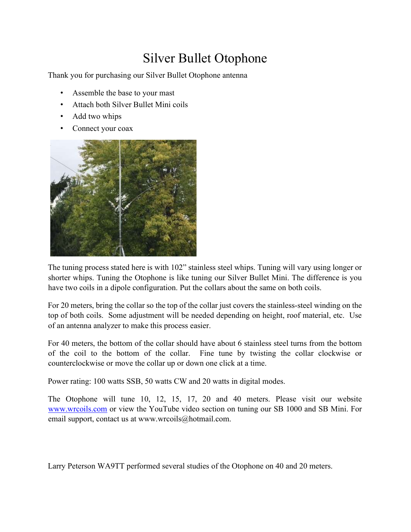## Silver Bullet Otophone

Thank you for purchasing our Silver Bullet Otophone antenna

- Assemble the base to your mast
- Attach both Silver Bullet Mini coils
- Add two whips
- Connect your coax



The tuning process stated here is with 102" stainless steel whips. Tuning will vary using longer or shorter whips. Tuning the Otophone is like tuning our Silver Bullet Mini. The difference is you have two coils in a dipole configuration. Put the collars about the same on both coils.

For 20 meters, bring the collar so the top of the collar just covers the stainless-steel winding on the top of both coils. Some adjustment will be needed depending on height, roof material, etc. Use of an antenna analyzer to make this process easier.

For 40 meters, the bottom of the collar should have about 6 stainless steel turns from the bottom of the coil to the bottom of the collar. Fine tune by twisting the collar clockwise or counterclockwise or move the collar up or down one click at a time.

Power rating: 100 watts SSB, 50 watts CW and 20 watts in digital modes.

The Otophone will tune 10, 12, 15, 17, 20 and 40 meters. Please visit our website www.wrcoils.com or view the YouTube video section on tuning our SB 1000 and SB Mini. For email support, contact us at www.wrcoils@hotmail.com.

Larry Peterson WA9TT performed several studies of the Otophone on 40 and 20 meters.